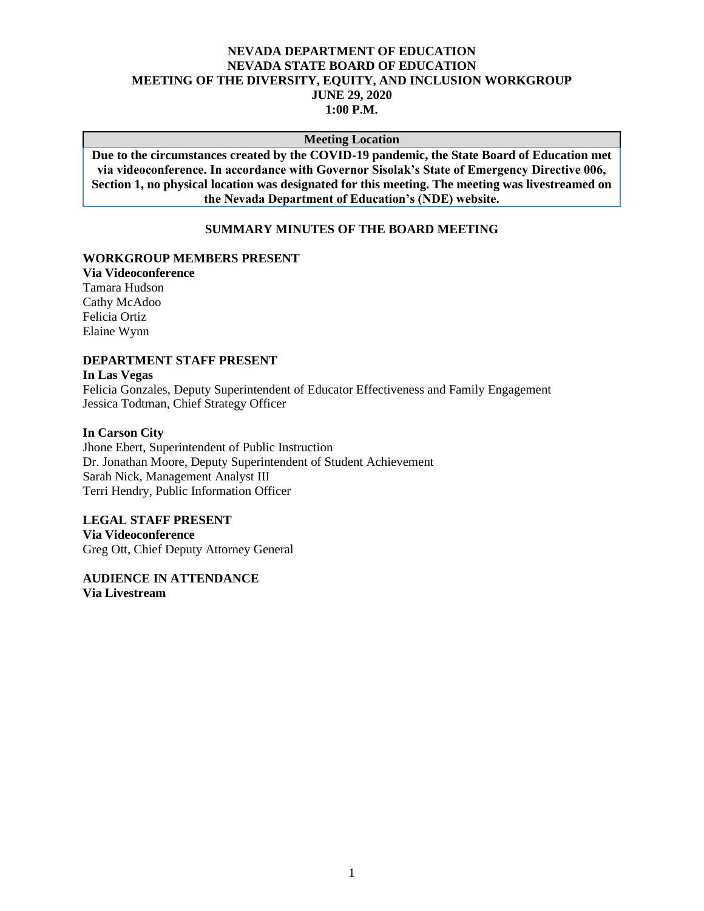## **NEVADA DEPARTMENT OF EDUCATION NEVADA STATE BOARD OF EDUCATION MEETING OF THE DIVERSITY, EQUITY, AND INCLUSION WORKGROUP JUNE 29, 2020 1:00 P.M.**

#### **Meeting Location**

**Due to the circumstances created by the COVID-19 pandemic, the State Board of Education met via videoconference. In accordance with Governor Sisolak's State of Emergency Directive 006, Section 1, no physical location was designated for this meeting. The meeting was livestreamed on the Nevada Department of Education's (NDE) website.**

### **SUMMARY MINUTES OF THE BOARD MEETING**

#### **WORKGROUP MEMBERS PRESENT**

**Via Videoconference** Tamara Hudson Cathy McAdoo Felicia Ortiz Elaine Wynn

# **DEPARTMENT STAFF PRESENT**

# **In Las Vegas**

Felicia Gonzales, Deputy Superintendent of Educator Effectiveness and Family Engagement Jessica Todtman, Chief Strategy Officer

#### **In Carson City**

Jhone Ebert, Superintendent of Public Instruction Dr. Jonathan Moore, Deputy Superintendent of Student Achievement Sarah Nick, Management Analyst III Terri Hendry, Public Information Officer

#### **LEGAL STAFF PRESENT**

**Via Videoconference** Greg Ott, Chief Deputy Attorney General

**AUDIENCE IN ATTENDANCE Via Livestream**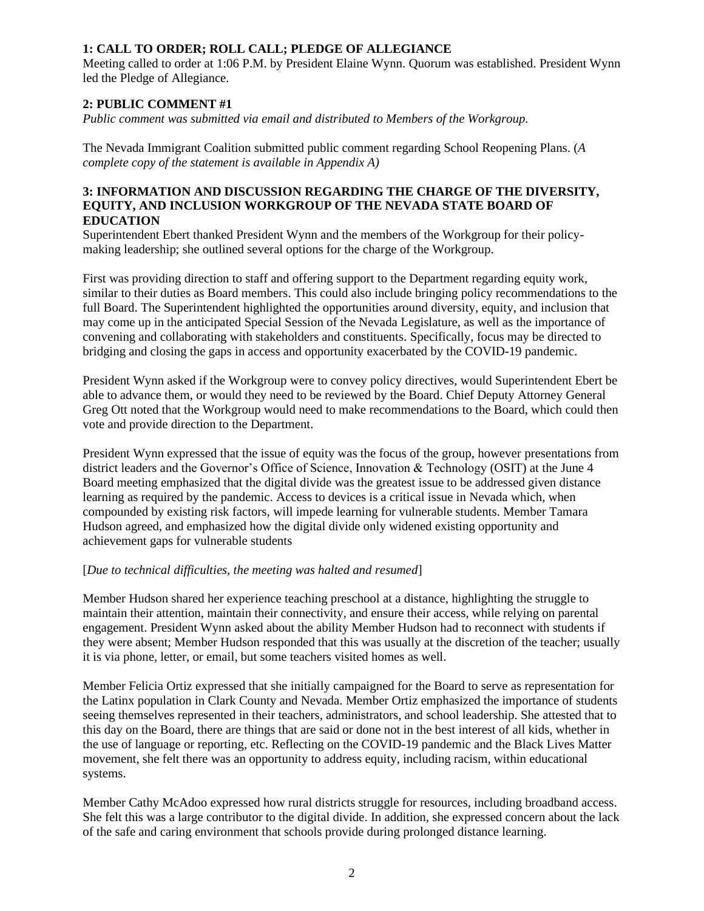# **1: CALL TO ORDER; ROLL CALL; PLEDGE OF ALLEGIANCE**

Meeting called to order at 1:06 P.M. by President Elaine Wynn. Quorum was established. President Wynn led the Pledge of Allegiance.

# **2: PUBLIC COMMENT #1**

*Public comment was submitted via email and distributed to Members of the Workgroup.*

The Nevada Immigrant Coalition submitted public comment regarding School Reopening Plans. (*A complete copy of the statement is available in Appendix A)*

#### **3: INFORMATION AND DISCUSSION REGARDING THE CHARGE OF THE DIVERSITY, EQUITY, AND INCLUSION WORKGROUP OF THE NEVADA STATE BOARD OF EDUCATION**

Superintendent Ebert thanked President Wynn and the members of the Workgroup for their policymaking leadership; she outlined several options for the charge of the Workgroup.

First was providing direction to staff and offering support to the Department regarding equity work, similar to their duties as Board members. This could also include bringing policy recommendations to the full Board. The Superintendent highlighted the opportunities around diversity, equity, and inclusion that may come up in the anticipated Special Session of the Nevada Legislature, as well as the importance of convening and collaborating with stakeholders and constituents. Specifically, focus may be directed to bridging and closing the gaps in access and opportunity exacerbated by the COVID-19 pandemic.

President Wynn asked if the Workgroup were to convey policy directives, would Superintendent Ebert be able to advance them, or would they need to be reviewed by the Board. Chief Deputy Attorney General Greg Ott noted that the Workgroup would need to make recommendations to the Board, which could then vote and provide direction to the Department.

President Wynn expressed that the issue of equity was the focus of the group, however presentations from district leaders and the Governor's Office of Science, Innovation & Technology (OSIT) at the June 4 Board meeting emphasized that the digital divide was the greatest issue to be addressed given distance learning as required by the pandemic. Access to devices is a critical issue in Nevada which, when compounded by existing risk factors, will impede learning for vulnerable students. Member Tamara Hudson agreed, and emphasized how the digital divide only widened existing opportunity and achievement gaps for vulnerable students

## [*Due to technical difficulties, the meeting was halted and resumed*]

Member Hudson shared her experience teaching preschool at a distance, highlighting the struggle to maintain their attention, maintain their connectivity, and ensure their access, while relying on parental engagement. President Wynn asked about the ability Member Hudson had to reconnect with students if they were absent; Member Hudson responded that this was usually at the discretion of the teacher; usually it is via phone, letter, or email, but some teachers visited homes as well.

Member Felicia Ortiz expressed that she initially campaigned for the Board to serve as representation for the Latinx population in Clark County and Nevada. Member Ortiz emphasized the importance of students seeing themselves represented in their teachers, administrators, and school leadership. She attested that to this day on the Board, there are things that are said or done not in the best interest of all kids, whether in the use of language or reporting, etc. Reflecting on the COVID-19 pandemic and the Black Lives Matter movement, she felt there was an opportunity to address equity, including racism, within educational systems.

Member Cathy McAdoo expressed how rural districts struggle for resources, including broadband access. She felt this was a large contributor to the digital divide. In addition, she expressed concern about the lack of the safe and caring environment that schools provide during prolonged distance learning.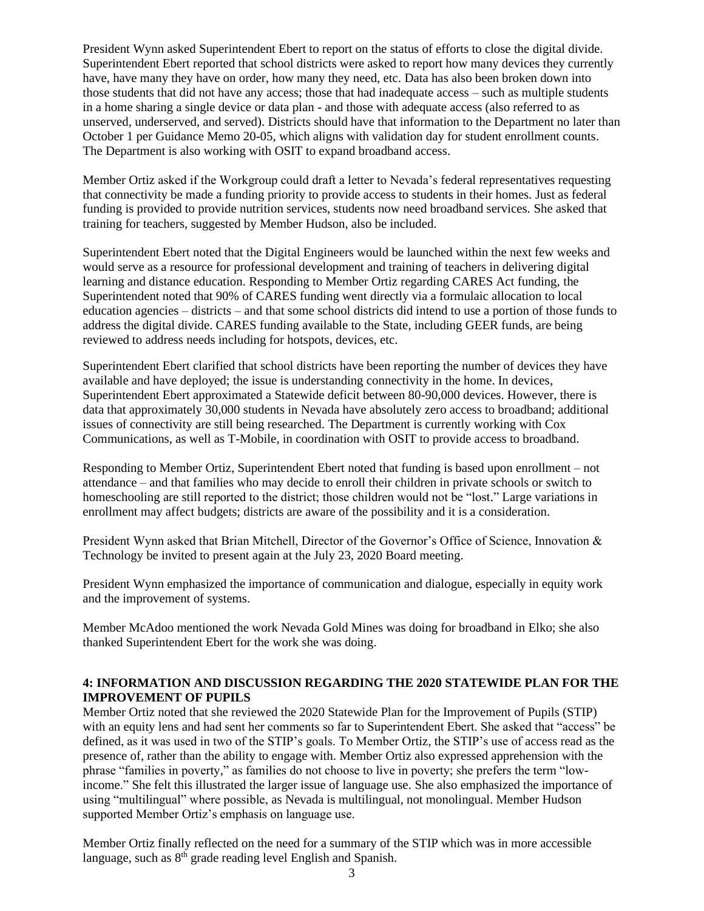President Wynn asked Superintendent Ebert to report on the status of efforts to close the digital divide. Superintendent Ebert reported that school districts were asked to report how many devices they currently have, have many they have on order, how many they need, etc. Data has also been broken down into those students that did not have any access; those that had inadequate access – such as multiple students in a home sharing a single device or data plan - and those with adequate access (also referred to as unserved, underserved, and served). Districts should have that information to the Department no later than October 1 per Guidance Memo 20-05, which aligns with validation day for student enrollment counts. The Department is also working with OSIT to expand broadband access.

Member Ortiz asked if the Workgroup could draft a letter to Nevada's federal representatives requesting that connectivity be made a funding priority to provide access to students in their homes. Just as federal funding is provided to provide nutrition services, students now need broadband services. She asked that training for teachers, suggested by Member Hudson, also be included.

Superintendent Ebert noted that the Digital Engineers would be launched within the next few weeks and would serve as a resource for professional development and training of teachers in delivering digital learning and distance education. Responding to Member Ortiz regarding CARES Act funding, the Superintendent noted that 90% of CARES funding went directly via a formulaic allocation to local education agencies – districts – and that some school districts did intend to use a portion of those funds to address the digital divide. CARES funding available to the State, including GEER funds, are being reviewed to address needs including for hotspots, devices, etc.

Superintendent Ebert clarified that school districts have been reporting the number of devices they have available and have deployed; the issue is understanding connectivity in the home. In devices, Superintendent Ebert approximated a Statewide deficit between 80-90,000 devices. However, there is data that approximately 30,000 students in Nevada have absolutely zero access to broadband; additional issues of connectivity are still being researched. The Department is currently working with Cox Communications, as well as T-Mobile, in coordination with OSIT to provide access to broadband.

Responding to Member Ortiz, Superintendent Ebert noted that funding is based upon enrollment – not attendance – and that families who may decide to enroll their children in private schools or switch to homeschooling are still reported to the district; those children would not be "lost." Large variations in enrollment may affect budgets; districts are aware of the possibility and it is a consideration.

President Wynn asked that Brian Mitchell, Director of the Governor's Office of Science, Innovation & Technology be invited to present again at the July 23, 2020 Board meeting.

President Wynn emphasized the importance of communication and dialogue, especially in equity work and the improvement of systems.

Member McAdoo mentioned the work Nevada Gold Mines was doing for broadband in Elko; she also thanked Superintendent Ebert for the work she was doing.

# **4: INFORMATION AND DISCUSSION REGARDING THE 2020 STATEWIDE PLAN FOR THE IMPROVEMENT OF PUPILS**

Member Ortiz noted that she reviewed the 2020 Statewide Plan for the Improvement of Pupils (STIP) with an equity lens and had sent her comments so far to Superintendent Ebert. She asked that "access" be defined, as it was used in two of the STIP's goals. To Member Ortiz, the STIP's use of access read as the presence of, rather than the ability to engage with. Member Ortiz also expressed apprehension with the phrase "families in poverty," as families do not choose to live in poverty; she prefers the term "lowincome." She felt this illustrated the larger issue of language use. She also emphasized the importance of using "multilingual" where possible, as Nevada is multilingual, not monolingual. Member Hudson supported Member Ortiz's emphasis on language use.

Member Ortiz finally reflected on the need for a summary of the STIP which was in more accessible language, such as 8<sup>th</sup> grade reading level English and Spanish.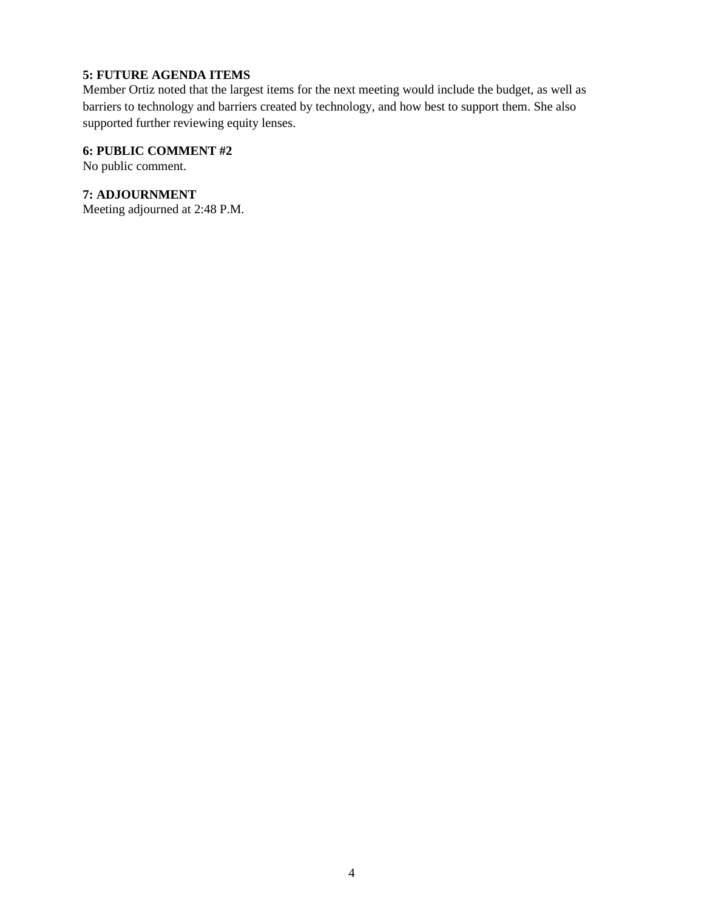# **5: FUTURE AGENDA ITEMS**

Member Ortiz noted that the largest items for the next meeting would include the budget, as well as barriers to technology and barriers created by technology, and how best to support them. She also supported further reviewing equity lenses.

## **6: PUBLIC COMMENT #2**

No public comment.

# **7: ADJOURNMENT**

Meeting adjourned at 2:48 P.M.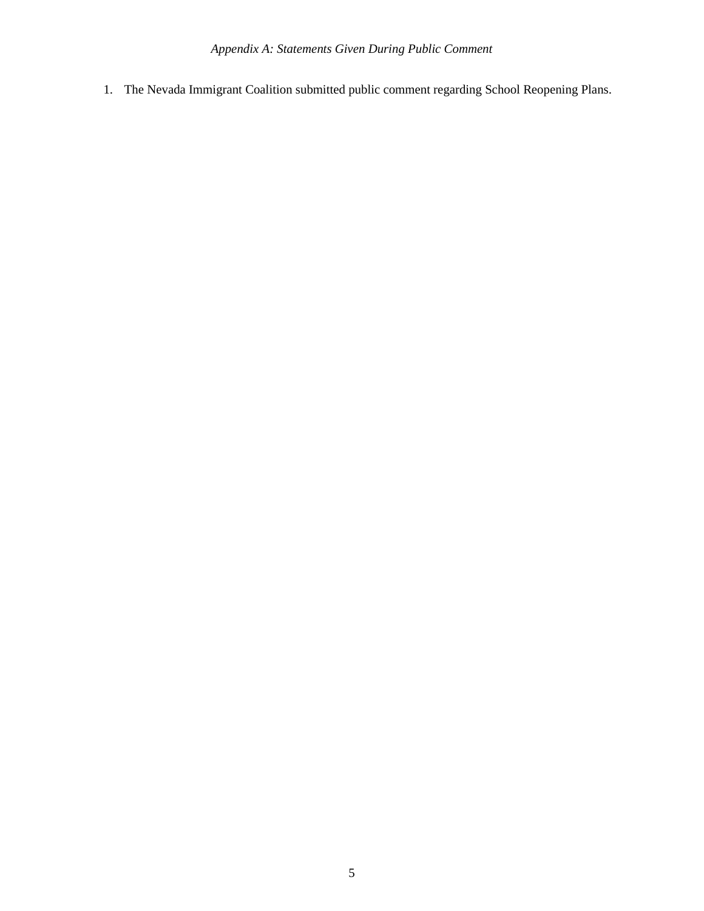1. The Nevada Immigrant Coalition submitted public comment regarding School Reopening Plans.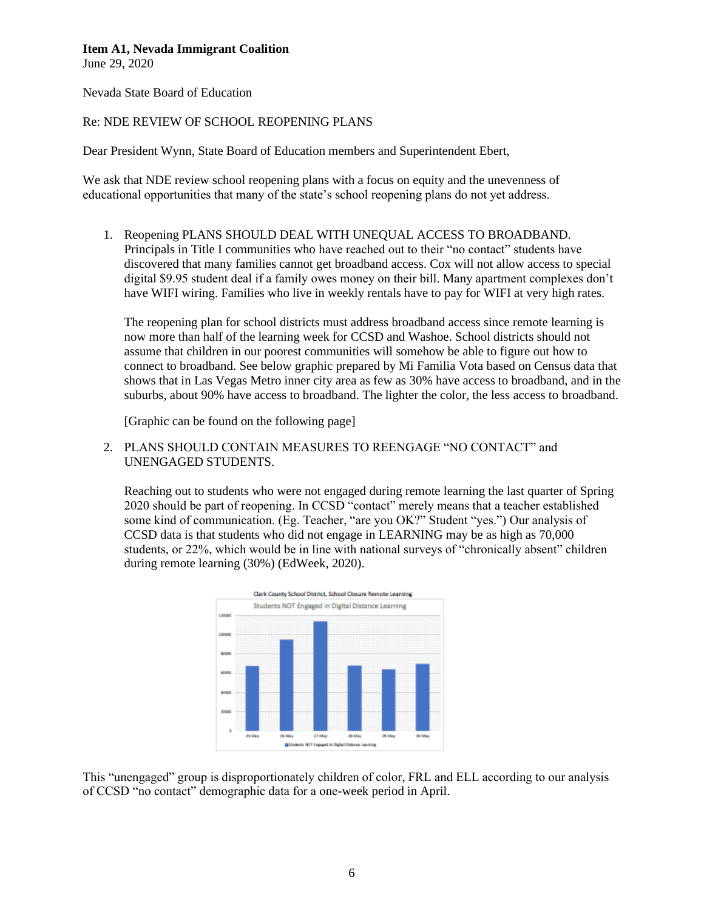## **Item A1, Nevada Immigrant Coalition**

June 29, 2020

Nevada State Board of Education

#### Re: NDE REVIEW OF SCHOOL REOPENING PLANS

Dear President Wynn, State Board of Education members and Superintendent Ebert,

We ask that NDE review school reopening plans with a focus on equity and the unevenness of educational opportunities that many of the state's school reopening plans do not yet address.

1. Reopening PLANS SHOULD DEAL WITH UNEQUAL ACCESS TO BROADBAND. Principals in Title I communities who have reached out to their "no contact" students have discovered that many families cannot get broadband access. Cox will not allow access to special digital \$9.95 student deal if a family owes money on their bill. Many apartment complexes don't have WIFI wiring. Families who live in weekly rentals have to pay for WIFI at very high rates.

The reopening plan for school districts must address broadband access since remote learning is now more than half of the learning week for CCSD and Washoe. School districts should not assume that children in our poorest communities will somehow be able to figure out how to connect to broadband. See below graphic prepared by Mi Familia Vota based on Census data that shows that in Las Vegas Metro inner city area as few as 30% have access to broadband, and in the suburbs, about 90% have access to broadband. The lighter the color, the less access to broadband.

[Graphic can be found on the following page]

2. PLANS SHOULD CONTAIN MEASURES TO REENGAGE "NO CONTACT" and UNENGAGED STUDENTS.

Reaching out to students who were not engaged during remote learning the last quarter of Spring 2020 should be part of reopening. In CCSD "contact" merely means that a teacher established some kind of communication. (Eg. Teacher, "are you OK?" Student "yes.") Our analysis of CCSD data is that students who did not engage in LEARNING may be as high as 70,000 students, or 22%, which would be in line with national surveys of "chronically absent" children during remote learning (30%) (EdWeek, 2020).



This "unengaged" group is disproportionately children of color, FRL and ELL according to our analysis of CCSD "no contact" demographic data for a one-week period in April.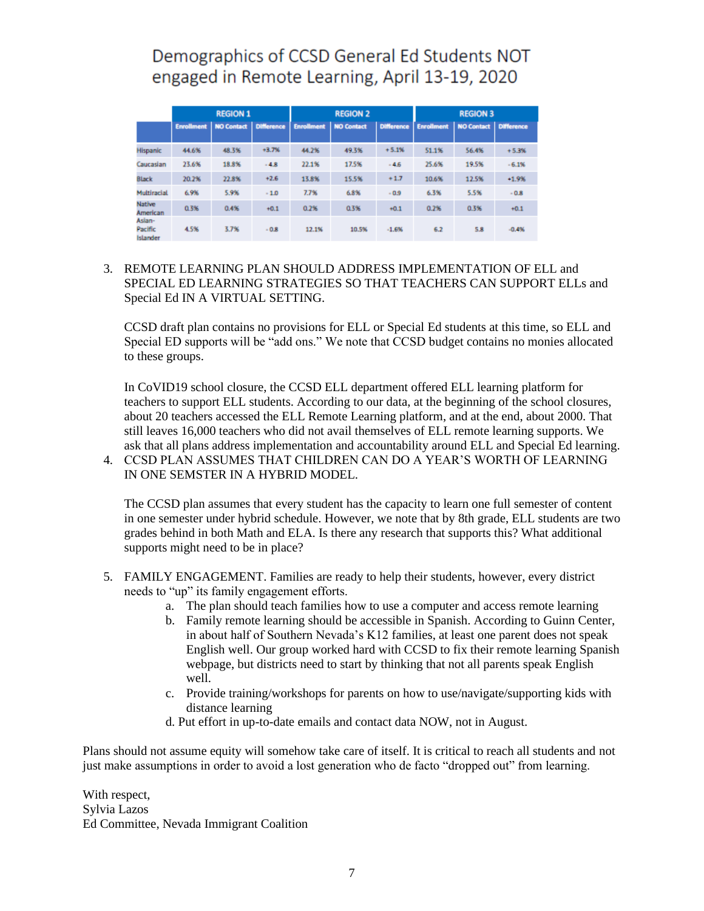# Demographics of CCSD General Ed Students NOT engaged in Remote Learning, April 13-19, 2020

|                                      | <b>REGION 1</b>   |            |                   | <b>REGION 2</b>   |                   |                   | <b>REGION 3</b>   |                       |         |
|--------------------------------------|-------------------|------------|-------------------|-------------------|-------------------|-------------------|-------------------|-----------------------|---------|
|                                      | <b>Enrollment</b> | NO Contact | <b>Difference</b> | <b>Enrollment</b> | <b>NO Contact</b> | <b>Difference</b> | <b>Enrollment</b> | NO Contact Difference |         |
| <b>Hispanic</b>                      | 44.6%             | 48.3%      | $+3.7%$           | 44.2%             | 49.3%             | $+5.1%$           | 51.1%             | 56.4%                 | $+5.3%$ |
| Caucasian                            | 23.6%             | 18.8%      | $-4.8$            | 22.1%             | 17.5%             | $-4.6$            | 25.6%             | 19.5%                 | $-6.1%$ |
| <b>Black</b>                         | 20.2%             | 22.8%      | $+2.6$            | 13.8%             | 15.5%             | $+1.7$            | 10.6%             | 12.5%                 | $+1.9%$ |
| Multiracial                          | 6.9%              | 5.9%       | $-1.0$            | 7.7%              | 6.8%              | $-0.9$            | 6.3%              | 5.5%                  | $-0.8$  |
| <b>Native</b><br>American            | 0.3%              | 0.4%       | $+0.1$            | 0.2%              | 0.3%              | $+0.1$            | 0.2%              | 0.3%                  | $+0.1$  |
| Asian-<br>Pacific<br><b>Islander</b> | 4.5%              | 3.7%       | $-0.8$            | 12.1%             | 10.5%             | $-1.6%$           | 6.2               | 5.8                   | $-0.4%$ |

# 3. REMOTE LEARNING PLAN SHOULD ADDRESS IMPLEMENTATION OF ELL and SPECIAL ED LEARNING STRATEGIES SO THAT TEACHERS CAN SUPPORT ELLs and Special Ed IN A VIRTUAL SETTING.

CCSD draft plan contains no provisions for ELL or Special Ed students at this time, so ELL and Special ED supports will be "add ons." We note that CCSD budget contains no monies allocated to these groups.

In CoVID19 school closure, the CCSD ELL department offered ELL learning platform for teachers to support ELL students. According to our data, at the beginning of the school closures, about 20 teachers accessed the ELL Remote Learning platform, and at the end, about 2000. That still leaves 16,000 teachers who did not avail themselves of ELL remote learning supports. We ask that all plans address implementation and accountability around ELL and Special Ed learning. 4. CCSD PLAN ASSUMES THAT CHILDREN CAN DO A YEAR'S WORTH OF LEARNING

IN ONE SEMSTER IN A HYBRID MODEL.

The CCSD plan assumes that every student has the capacity to learn one full semester of content in one semester under hybrid schedule. However, we note that by 8th grade, ELL students are two grades behind in both Math and ELA. Is there any research that supports this? What additional supports might need to be in place?

- 5. FAMILY ENGAGEMENT. Families are ready to help their students, however, every district needs to "up" its family engagement efforts.
	- a. The plan should teach families how to use a computer and access remote learning
	- b. Family remote learning should be accessible in Spanish. According to Guinn Center, in about half of Southern Nevada's K12 families, at least one parent does not speak English well. Our group worked hard with CCSD to fix their remote learning Spanish webpage, but districts need to start by thinking that not all parents speak English well.
	- c. Provide training/workshops for parents on how to use/navigate/supporting kids with distance learning
	- d. Put effort in up-to-date emails and contact data NOW, not in August.

Plans should not assume equity will somehow take care of itself. It is critical to reach all students and not just make assumptions in order to avoid a lost generation who de facto "dropped out" from learning.

With respect, Sylvia Lazos Ed Committee, Nevada Immigrant Coalition